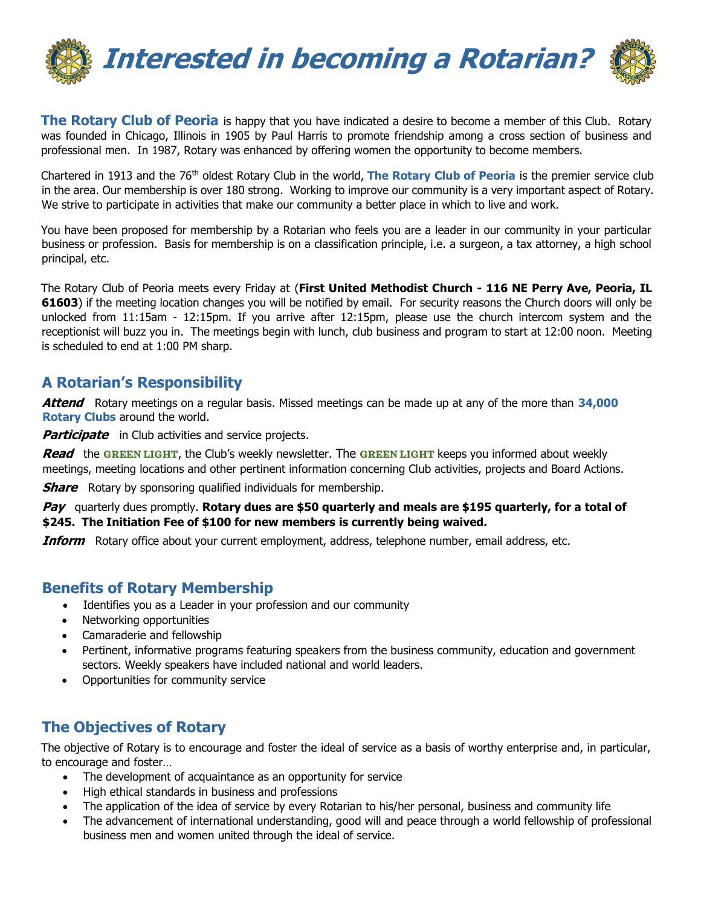

**The Rotary Club of Peoria** is happy that you have indicated a desire to become a member of this Club. Rotary was founded in Chicago, Illinois in 1905 by Paul Harris to promote friendship among a cross section of business and professional men. In 1987, Rotary was enhanced by offering women the opportunity to become members.

Chartered in 1913 and the 76<sup>th</sup> oldest Rotary Club in the world, **The Rotary Club of Peoria** is the premier service club in the area. Our membership is over 180 strong. Working to improve our community is a very important aspect of Rotary. We strive to participate in activities that make our community a better place in which to live and work.

You have been proposed for membership by a Rotarian who feels you are a leader in our community in your particular business or profession. Basis for membership is on a classification principle, i.e. a surgeon, a tax attorney, a high school principal, etc.

The Rotary Club of Peoria meets every Friday at (**First United Methodist Church - 116 NE Perry Ave, Peoria, IL 61603**) if the meeting location changes you will be notified by email. For security reasons the Church doors will only be unlocked from 11:15am - 12:15pm. If you arrive after 12:15pm, please use the church intercom system and the receptionist will buzz you in. The meetings begin with lunch, club business and program to start at 12:00 noon. Meeting is scheduled to end at 1:00 PM sharp.

#### **A Rotarian's Responsibility**

**Attend** Rotary meetings on a regular basis. Missed meetings can be made up at any of the more than **34,000 Rotary Clubs** around the world.

**Participate** in Club activities and service projects.

**Read** the **GREEN LIGHT**, the Club's weekly newsletter. The **GREEN LIGHT** keeps you informed about weekly meetings, meeting locations and other pertinent information concerning Club activities, projects and Board Actions.

**Share** Rotary by sponsoring qualified individuals for membership.

**Pay** quarterly dues promptly. **Rotary dues are \$50 quarterly and meals are \$195 quarterly, for a total of \$245. The Initiation Fee of \$100 for new members is currently being waived.**

**Inform** Rotary office about your current employment, address, telephone number, email address, etc.

#### **Benefits of Rotary Membership**

- Identifies you as a Leader in your profession and our community
- Networking opportunities
- Camaraderie and fellowship
- Pertinent, informative programs featuring speakers from the business community, education and government sectors. Weekly speakers have included national and world leaders.
- Opportunities for community service

## **The Objectives of Rotary**

The objective of Rotary is to encourage and foster the ideal of service as a basis of worthy enterprise and, in particular, to encourage and foster…

- The development of acquaintance as an opportunity for service
- High ethical standards in business and professions
- The application of the idea of service by every Rotarian to his/her personal, business and community life
- The advancement of international understanding, good will and peace through a world fellowship of professional business men and women united through the ideal of service.